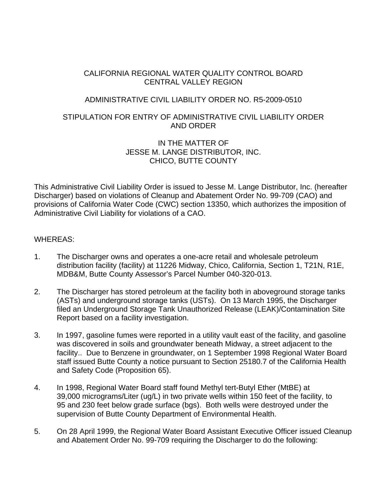# CALIFORNIA REGIONAL WATER QUALITY CONTROL BOARD CENTRAL VALLEY REGION

# ADMINISTRATIVE CIVIL LIABILITY ORDER NO. R5-2009-0510

# STIPULATION FOR ENTRY OF ADMINISTRATIVE CIVIL LIABILITY ORDER AND ORDER

## IN THE MATTER OF JESSE M. LANGE DISTRIBUTOR, INC. CHICO, BUTTE COUNTY

This Administrative Civil Liability Order is issued to Jesse M. Lange Distributor, Inc. (hereafter Discharger) based on violations of Cleanup and Abatement Order No. 99-709 (CAO) and provisions of California Water Code (CWC) section 13350, which authorizes the imposition of Administrative Civil Liability for violations of a CAO.

## WHEREAS:

- 1. The Discharger owns and operates a one-acre retail and wholesale petroleum distribution facility (facility) at 11226 Midway, Chico, California, Section 1, T21N, R1E, MDB&M, Butte County Assessor's Parcel Number 040-320-013.
- 2. The Discharger has stored petroleum at the facility both in aboveground storage tanks (ASTs) and underground storage tanks (USTs). On 13 March 1995, the Discharger filed an Underground Storage Tank Unauthorized Release (LEAK)/Contamination Site Report based on a facility investigation.
- 3. In 1997, gasoline fumes were reported in a utility vault east of the facility, and gasoline was discovered in soils and groundwater beneath Midway, a street adjacent to the facility.. Due to Benzene in groundwater, on 1 September 1998 Regional Water Board staff issued Butte County a notice pursuant to Section 25180.7 of the California Health and Safety Code (Proposition 65).
- 4. In 1998, Regional Water Board staff found Methyl tert-Butyl Ether (MtBE) at 39,000 micrograms/Liter (ug/L) in two private wells within 150 feet of the facility, to 95 and 230 feet below grade surface (bgs). Both wells were destroyed under the supervision of Butte County Department of Environmental Health.
- 5. On 28 April 1999, the Regional Water Board Assistant Executive Officer issued Cleanup and Abatement Order No. 99-709 requiring the Discharger to do the following: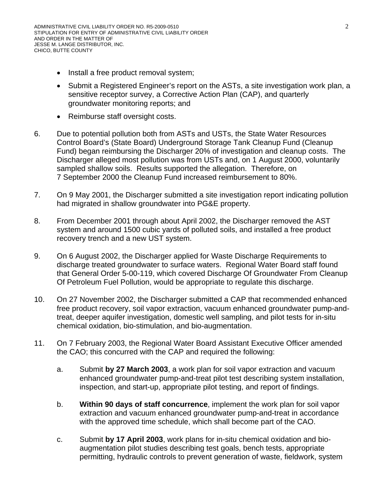- Install a free product removal system;
- Submit a Registered Engineer's report on the ASTs, a site investigation work plan, a sensitive receptor survey, a Corrective Action Plan (CAP), and quarterly groundwater monitoring reports; and
- Reimburse staff oversight costs.
- 6. Due to potential pollution both from ASTs and USTs, the State Water Resources Control Board's (State Board) Underground Storage Tank Cleanup Fund (Cleanup Fund) began reimbursing the Discharger 20% of investigation and cleanup costs. The Discharger alleged most pollution was from USTs and, on 1 August 2000, voluntarily sampled shallow soils. Results supported the allegation. Therefore, on 7 September 2000 the Cleanup Fund increased reimbursement to 80%.
- 7. On 9 May 2001, the Discharger submitted a site investigation report indicating pollution had migrated in shallow groundwater into PG&E property.
- 8. From December 2001 through about April 2002, the Discharger removed the AST system and around 1500 cubic yards of polluted soils, and installed a free product recovery trench and a new UST system.
- 9. On 6 August 2002, the Discharger applied for Waste Discharge Requirements to discharge treated groundwater to surface waters. Regional Water Board staff found that General Order 5-00-119, which covered Discharge Of Groundwater From Cleanup Of Petroleum Fuel Pollution, would be appropriate to regulate this discharge.
- 10. On 27 November 2002, the Discharger submitted a CAP that recommended enhanced free product recovery, soil vapor extraction, vacuum enhanced groundwater pump-andtreat, deeper aquifer investigation, domestic well sampling, and pilot tests for in-situ chemical oxidation, bio-stimulation, and bio-augmentation.
- 11. On 7 February 2003, the Regional Water Board Assistant Executive Officer amended the CAO; this concurred with the CAP and required the following:
	- a. Submit **by 27 March 2003**, a work plan for soil vapor extraction and vacuum enhanced groundwater pump-and-treat pilot test describing system installation, inspection, and start-up, appropriate pilot testing, and report of findings.
	- b. **Within 90 days of staff concurrence**, implement the work plan for soil vapor extraction and vacuum enhanced groundwater pump-and-treat in accordance with the approved time schedule, which shall become part of the CAO.
	- c. Submit **by 17 April 2003**, work plans for in-situ chemical oxidation and bioaugmentation pilot studies describing test goals, bench tests, appropriate permitting, hydraulic controls to prevent generation of waste, fieldwork, system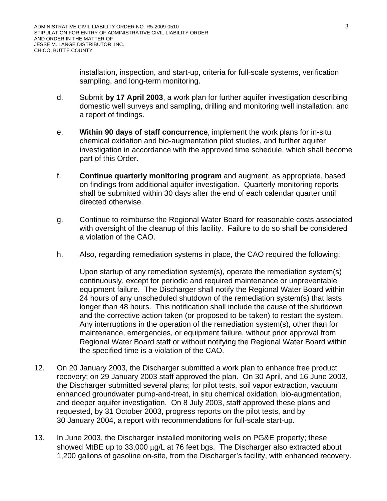installation, inspection, and start-up, criteria for full-scale systems, verification sampling, and long-term monitoring.

- d. Submit **by 17 April 2003**, a work plan for further aquifer investigation describing domestic well surveys and sampling, drilling and monitoring well installation, and a report of findings.
- e. **Within 90 days of staff concurrence**, implement the work plans for in-situ chemical oxidation and bio-augmentation pilot studies, and further aquifer investigation in accordance with the approved time schedule, which shall become part of this Order.
- f. **Continue quarterly monitoring program** and augment, as appropriate, based on findings from additional aquifer investigation. Quarterly monitoring reports shall be submitted within 30 days after the end of each calendar quarter until directed otherwise.
- g. Continue to reimburse the Regional Water Board for reasonable costs associated with oversight of the cleanup of this facility. Failure to do so shall be considered a violation of the CAO.
- h. Also, regarding remediation systems in place, the CAO required the following:

Upon startup of any remediation system(s), operate the remediation system(s) continuously, except for periodic and required maintenance or unpreventable equipment failure. The Discharger shall notify the Regional Water Board within 24 hours of any unscheduled shutdown of the remediation system(s) that lasts longer than 48 hours. This notification shall include the cause of the shutdown and the corrective action taken (or proposed to be taken) to restart the system. Any interruptions in the operation of the remediation system(s), other than for maintenance, emergencies, or equipment failure, without prior approval from Regional Water Board staff or without notifying the Regional Water Board within the specified time is a violation of the CAO.

- 12. On 20 January 2003, the Discharger submitted a work plan to enhance free product recovery; on 29 January 2003 staff approved the plan. On 30 April, and 16 June 2003, the Discharger submitted several plans; for pilot tests, soil vapor extraction, vacuum enhanced groundwater pump-and-treat, in situ chemical oxidation, bio-augmentation, and deeper aquifer investigation. On 8 July 2003, staff approved these plans and requested, by 31 October 2003, progress reports on the pilot tests, and by 30 January 2004, a report with recommendations for full-scale start-up.
- 13. In June 2003, the Discharger installed monitoring wells on PG&E property; these showed MtBE up to 33,000 μg/L at 76 feet bgs. The Discharger also extracted about 1,200 gallons of gasoline on-site, from the Discharger's facility, with enhanced recovery.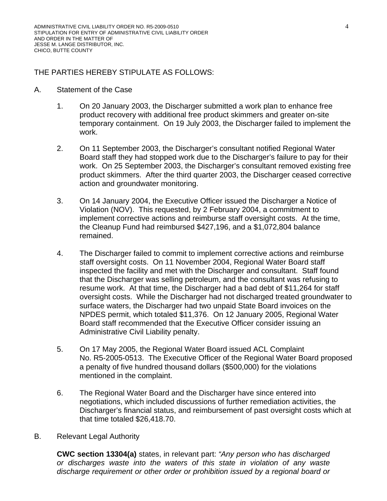# THE PARTIES HEREBY STIPULATE AS FOLLOWS:

#### A. Statement of the Case

- 1. On 20 January 2003, the Discharger submitted a work plan to enhance free product recovery with additional free product skimmers and greater on-site temporary containment. On 19 July 2003, the Discharger failed to implement the work.
- 2. On 11 September 2003, the Discharger's consultant notified Regional Water Board staff they had stopped work due to the Discharger's failure to pay for their work. On 25 September 2003, the Discharger's consultant removed existing free product skimmers. After the third quarter 2003, the Discharger ceased corrective action and groundwater monitoring.
- 3. On 14 January 2004, the Executive Officer issued the Discharger a Notice of Violation (NOV). This requested, by 2 February 2004, a commitment to implement corrective actions and reimburse staff oversight costs. At the time, the Cleanup Fund had reimbursed \$427,196, and a \$1,072,804 balance remained.
- 4. The Discharger failed to commit to implement corrective actions and reimburse staff oversight costs. On 11 November 2004, Regional Water Board staff inspected the facility and met with the Discharger and consultant. Staff found that the Discharger was selling petroleum, and the consultant was refusing to resume work. At that time, the Discharger had a bad debt of \$11,264 for staff oversight costs. While the Discharger had not discharged treated groundwater to surface waters, the Discharger had two unpaid State Board invoices on the NPDES permit, which totaled \$11,376. On 12 January 2005, Regional Water Board staff recommended that the Executive Officer consider issuing an Administrative Civil Liability penalty.
- 5. On 17 May 2005, the Regional Water Board issued ACL Complaint No. R5-2005-0513. The Executive Officer of the Regional Water Board proposed a penalty of five hundred thousand dollars (\$500,000) for the violations mentioned in the complaint.
- 6. The Regional Water Board and the Discharger have since entered into negotiations, which included discussions of further remediation activities, the Discharger's financial status, and reimbursement of past oversight costs which at that time totaled \$26,418.70.
- B. Relevant Legal Authority

**CWC section 13304(a)** states, in relevant part: *"Any person who has discharged or discharges waste into the waters of this state in violation of any waste discharge requirement or other order or prohibition issued by a regional board or*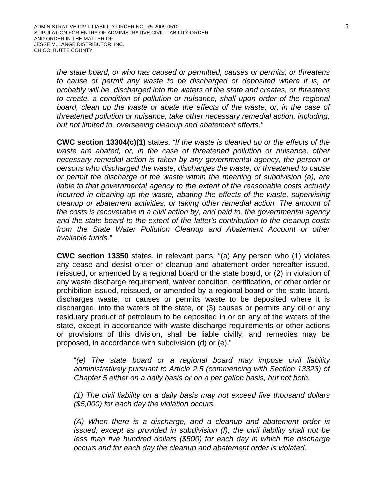*the state board, or who has caused or permitted, causes or permits, or threatens to cause or permit any waste to be discharged or deposited where it is, or probably will be, discharged into the waters of the state and creates, or threatens to create, a condition of pollution or nuisance, shall upon order of the regional board, clean up the waste or abate the effects of the waste, or, in the case of threatened pollution or nuisance, take other necessary remedial action, including, but not limited to, overseeing cleanup and abatement efforts."*

**CWC section 13304(c)(1)** states: *"If the waste is cleaned up or the effects of the waste are abated, or, in the case of threatened pollution or nuisance, other necessary remedial action is taken by any governmental agency, the person or persons who discharged the waste, discharges the waste, or threatened to cause or permit the discharge of the waste within the meaning of subdivision (a), are liable to that governmental agency to the extent of the reasonable costs actually incurred in cleaning up the waste, abating the effects of the waste, supervising cleanup or abatement activities, or taking other remedial action. The amount of the costs is recoverable in a civil action by, and paid to, the governmental agency and the state board to the extent of the latter's contribution to the cleanup costs from the State Water Pollution Cleanup and Abatement Account or other available funds."*

**CWC section 13350** states, in relevant parts: "(a) Any person who (1) violates any cease and desist order or cleanup and abatement order hereafter issued, reissued, or amended by a regional board or the state board, or (2) in violation of any waste discharge requirement, waiver condition, certification, or other order or prohibition issued, reissued, or amended by a regional board or the state board, discharges waste, or causes or permits waste to be deposited where it is discharged, into the waters of the state, or (3) causes or permits any oil or any residuary product of petroleum to be deposited in or on any of the waters of the state, except in accordance with waste discharge requirements or other actions or provisions of this division, shall be liable civilly, and remedies may be proposed, in accordance with subdivision (d) or (e)."

"*(e) The state board or a regional board may impose civil liability administratively pursuant to Article 2.5 (commencing with Section 13323) of Chapter 5 either on a daily basis or on a per gallon basis, but not both.* 

*(1) The civil liability on a daily basis may not exceed five thousand dollars (\$5,000) for each day the violation occurs.* 

*(A) When there is a discharge, and a cleanup and abatement order is issued, except as provided in subdivision (f), the civil liability shall not be less than five hundred dollars (\$500) for each day in which the discharge occurs and for each day the cleanup and abatement order is violated.*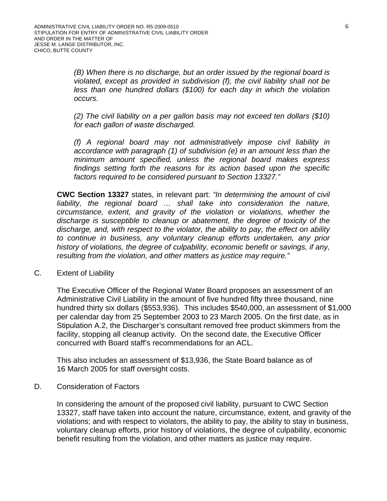*(B) When there is no discharge, but an order issued by the regional board is violated, except as provided in subdivision (f), the civil liability shall not be less than one hundred dollars (\$100) for each day in which the violation occurs.* 

*(2) The civil liability on a per gallon basis may not exceed ten dollars (\$10) for each gallon of waste discharged.* 

*(f) A regional board may not administratively impose civil liability in accordance with paragraph (1) of subdivision (e) in an amount less than the minimum amount specified, unless the regional board makes express findings setting forth the reasons for its action based upon the specific factors required to be considered pursuant to Section 13327."* 

**CWC Section 13327** states, in relevant part: *"In determining the amount of civil liability, the regional board … shall take into consideration the nature, circumstance, extent, and gravity of the violation or violations, whether the discharge is susceptible to cleanup or abatement, the degree of toxicity of the discharge, and, with respect to the violator, the ability to pay, the effect on ability to continue in business, any voluntary cleanup efforts undertaken, any prior history of violations, the degree of culpability, economic benefit or savings, if any, resulting from the violation, and other matters as justice may require."* 

C. Extent of Liability

The Executive Officer of the Regional Water Board proposes an assessment of an Administrative Civil Liability in the amount of five hundred fifty three thousand, nine hundred thirty six dollars (\$553,936). This includes \$540,000, an assessment of \$1,000 per calendar day from 25 September 2003 to 23 March 2005. On the first date, as in Stipulation A.2, the Discharger's consultant removed free product skimmers from the facility, stopping all cleanup activity. On the second date, the Executive Officer concurred with Board staff's recommendations for an ACL.

This also includes an assessment of \$13,936, the State Board balance as of 16 March 2005 for staff oversight costs.

D. Consideration of Factors

In considering the amount of the proposed civil liability, pursuant to CWC Section 13327, staff have taken into account the nature, circumstance, extent, and gravity of the violations; and with respect to violators, the ability to pay, the ability to stay in business, voluntary cleanup efforts, prior history of violations, the degree of culpability, economic benefit resulting from the violation, and other matters as justice may require.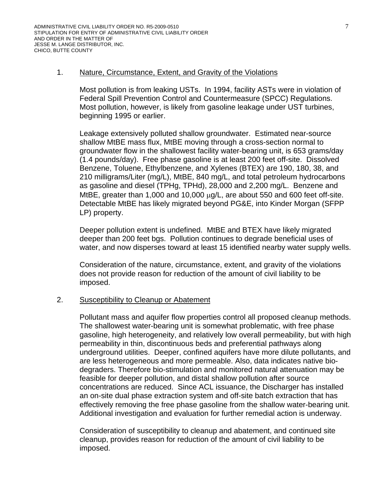### 1. Nature, Circumstance, Extent, and Gravity of the Violations

Most pollution is from leaking USTs. In 1994, facility ASTs were in violation of Federal Spill Prevention Control and Countermeasure (SPCC) Regulations. Most pollution, however, is likely from gasoline leakage under UST turbines, beginning 1995 or earlier.

Leakage extensively polluted shallow groundwater. Estimated near-source shallow MtBE mass flux, MtBE moving through a cross-section normal to groundwater flow in the shallowest facility water-bearing unit, is 653 grams/day (1.4 pounds/day). Free phase gasoline is at least 200 feet off-site. Dissolved Benzene, Toluene, Ethylbenzene, and Xylenes (BTEX) are 190, 180, 38, and 210 milligrams/Liter (mg/L), MtBE, 840 mg/L, and total petroleum hydrocarbons as gasoline and diesel (TPHg, TPHd), 28,000 and 2,200 mg/L. Benzene and MtBE, greater than 1,000 and 10,000 μg/L, are about 550 and 600 feet off-site. Detectable MtBE has likely migrated beyond PG&E, into Kinder Morgan (SFPP LP) property.

Deeper pollution extent is undefined. MtBE and BTEX have likely migrated deeper than 200 feet bgs. Pollution continues to degrade beneficial uses of water, and now disperses toward at least 15 identified nearby water supply wells.

Consideration of the nature, circumstance, extent, and gravity of the violations does not provide reason for reduction of the amount of civil liability to be imposed.

### 2. Susceptibility to Cleanup or Abatement

Pollutant mass and aquifer flow properties control all proposed cleanup methods. The shallowest water-bearing unit is somewhat problematic, with free phase gasoline, high heterogeneity, and relatively low overall permeability, but with high permeability in thin, discontinuous beds and preferential pathways along underground utilities. Deeper, confined aquifers have more dilute pollutants, and are less heterogeneous and more permeable. Also, data indicates native biodegraders. Therefore bio-stimulation and monitored natural attenuation may be feasible for deeper pollution, and distal shallow pollution after source concentrations are reduced. Since ACL issuance, the Discharger has installed an on-site dual phase extraction system and off-site batch extraction that has effectively removing the free phase gasoline from the shallow water-bearing unit. Additional investigation and evaluation for further remedial action is underway.

Consideration of susceptibility to cleanup and abatement, and continued site cleanup, provides reason for reduction of the amount of civil liability to be imposed.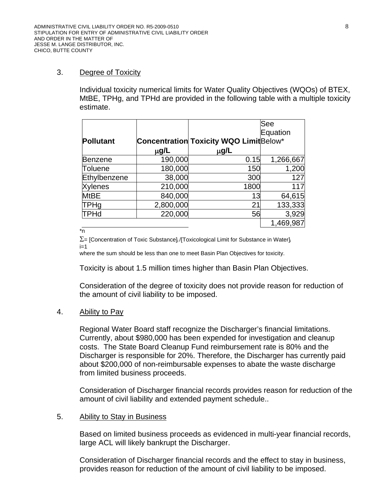## 3. Degree of Toxicity

Individual toxicity numerical limits for Water Quality Objectives (WQOs) of BTEX, MtBE, TPHg, and TPHd are provided in the following table with a multiple toxicity estimate.

|                  |           |                                                | See       |
|------------------|-----------|------------------------------------------------|-----------|
|                  |           |                                                | Equation  |
| <b>Pollutant</b> |           | <b>Concentration Toxicity WQO Limit Below*</b> |           |
|                  | $\mu$ g/L | μg/L                                           |           |
| <b>Benzene</b>   | 190,000   | 0.15                                           | 1,266,667 |
| Toluene          | 180,000   | 150                                            | 1,200     |
| Ethylbenzene     | 38,000    | 300                                            | 127       |
| <b>Xylenes</b>   | 210,000   | 1800                                           | 117       |
| <b>MtBE</b>      | 840,000   | 13                                             | 64,615    |
| TPHg             | 2,800,000 | 21                                             | 133,333   |
| TPHd             | 220,000   | 56                                             | 3,929     |
|                  |           |                                                | 1,469,987 |

\*n

 $\Sigma$ = [Concentration of Toxic Substance]<sub>i</sub>/[Toxicological Limit for Substance in Water]<sub>i</sub>  $i=1$ 

where the sum should be less than one to meet Basin Plan Objectives for toxicity.

Toxicity is about 1.5 million times higher than Basin Plan Objectives.

Consideration of the degree of toxicity does not provide reason for reduction of the amount of civil liability to be imposed.

### 4. Ability to Pay

Regional Water Board staff recognize the Discharger's financial limitations. Currently, about \$980,000 has been expended for investigation and cleanup costs. The State Board Cleanup Fund reimbursement rate is 80% and the Discharger is responsible for 20%. Therefore, the Discharger has currently paid about \$200,000 of non-reimbursable expenses to abate the waste discharge from limited business proceeds.

Consideration of Discharger financial records provides reason for reduction of the amount of civil liability and extended payment schedule..

### 5. Ability to Stay in Business

Based on limited business proceeds as evidenced in multi-year financial records, large ACL will likely bankrupt the Discharger.

Consideration of Discharger financial records and the effect to stay in business, provides reason for reduction of the amount of civil liability to be imposed.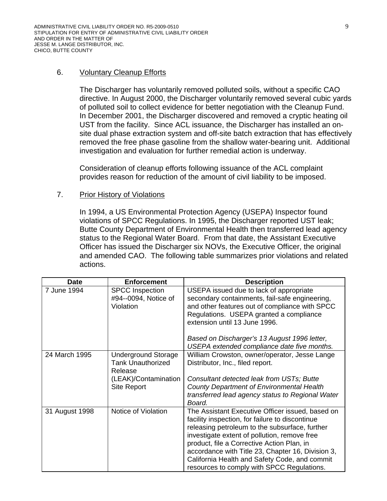## 6. Voluntary Cleanup Efforts

The Discharger has voluntarily removed polluted soils, without a specific CAO directive. In August 2000, the Discharger voluntarily removed several cubic yards of polluted soil to collect evidence for better negotiation with the Cleanup Fund. In December 2001, the Discharger discovered and removed a cryptic heating oil UST from the facility. Since ACL issuance, the Discharger has installed an onsite dual phase extraction system and off-site batch extraction that has effectively removed the free phase gasoline from the shallow water-bearing unit. Additional investigation and evaluation for further remedial action is underway.

Consideration of cleanup efforts following issuance of the ACL complaint provides reason for reduction of the amount of civil liability to be imposed.

## 7. Prior History of Violations

In 1994, a US Environmental Protection Agency (USEPA) Inspector found violations of SPCC Regulations. In 1995, the Discharger reported UST leak; Butte County Department of Environmental Health then transferred lead agency status to the Regional Water Board. From that date, the Assistant Executive Officer has issued the Discharger six NOVs, the Executive Officer, the original and amended CAO. The following table summarizes prior violations and related actions.

| <b>Date</b>    | <b>Enforcement</b>                                                                                       | <b>Description</b>                                                                                                                                                                                                                                                                                                                                                                                      |
|----------------|----------------------------------------------------------------------------------------------------------|---------------------------------------------------------------------------------------------------------------------------------------------------------------------------------------------------------------------------------------------------------------------------------------------------------------------------------------------------------------------------------------------------------|
| 7 June 1994    | <b>SPCC Inspection</b><br>#94--0094, Notice of<br>Violation                                              | USEPA issued due to lack of appropriate<br>secondary containments, fail-safe engineering,<br>and other features out of compliance with SPCC<br>Regulations. USEPA granted a compliance<br>extension until 13 June 1996.<br>Based on Discharger's 13 August 1996 letter,<br>USEPA extended compliance date five months.                                                                                  |
| 24 March 1995  | <b>Underground Storage</b><br><b>Tank Unauthorized</b><br>Release<br>(LEAK)/Contamination<br>Site Report | William Crowston, owner/operator, Jesse Lange<br>Distributor, Inc., filed report.<br>Consultant detected leak from USTs; Butte<br><b>County Department of Environmental Health</b><br>transferred lead agency status to Regional Water<br>Board.                                                                                                                                                        |
| 31 August 1998 | Notice of Violation                                                                                      | The Assistant Executive Officer issued, based on<br>facility inspection, for failure to discontinue<br>releasing petroleum to the subsurface, further<br>investigate extent of pollution, remove free<br>product, file a Corrective Action Plan, in<br>accordance with Title 23, Chapter 16, Division 3,<br>California Health and Safety Code, and commit<br>resources to comply with SPCC Regulations. |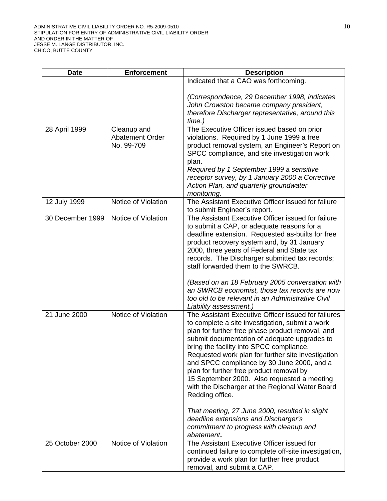| <b>Date</b>      | <b>Enforcement</b>                           | <b>Description</b>                                                                                                                                                                                                                                                                                                                                                                                                                                                                                                          |
|------------------|----------------------------------------------|-----------------------------------------------------------------------------------------------------------------------------------------------------------------------------------------------------------------------------------------------------------------------------------------------------------------------------------------------------------------------------------------------------------------------------------------------------------------------------------------------------------------------------|
|                  |                                              | Indicated that a CAO was forthcoming.                                                                                                                                                                                                                                                                                                                                                                                                                                                                                       |
|                  |                                              | (Correspondence, 29 December 1998, indicates<br>John Crowston became company president,<br>therefore Discharger representative, around this<br>time.)                                                                                                                                                                                                                                                                                                                                                                       |
| 28 April 1999    | Cleanup and<br>Abatement Order<br>No. 99-709 | The Executive Officer issued based on prior<br>violations. Required by 1 June 1999 a free<br>product removal system, an Engineer's Report on<br>SPCC compliance, and site investigation work<br>plan.<br>Required by 1 September 1999 a sensitive<br>receptor survey, by 1 January 2000 a Corrective<br>Action Plan, and quarterly groundwater<br>monitoring.                                                                                                                                                               |
| 12 July 1999     | Notice of Violation                          | The Assistant Executive Officer issued for failure<br>to submit Engineer's report.                                                                                                                                                                                                                                                                                                                                                                                                                                          |
| 30 December 1999 | Notice of Violation                          | The Assistant Executive Officer issued for failure<br>to submit a CAP, or adequate reasons for a<br>deadline extension. Requested as-builts for free<br>product recovery system and, by 31 January<br>2000, three years of Federal and State tax<br>records. The Discharger submitted tax records;<br>staff forwarded them to the SWRCB.<br>(Based on an 18 February 2005 conversation with                                                                                                                                 |
|                  |                                              | an SWRCB economist, those tax records are now<br>too old to be relevant in an Administrative Civil<br>Liability assessment.)                                                                                                                                                                                                                                                                                                                                                                                                |
| 21 June 2000     | Notice of Violation                          | The Assistant Executive Officer issued for failures<br>to complete a site investigation, submit a work<br>plan for further free phase product removal, and<br>submit documentation of adequate upgrades to<br>bring the facility into SPCC compliance.<br>Requested work plan for further site investigation<br>and SPCC compliance by 30 June 2000, and a<br>plan for further free product removal by<br>15 September 2000. Also requested a meeting<br>with the Discharger at the Regional Water Board<br>Redding office. |
|                  |                                              | That meeting, 27 June 2000, resulted in slight<br>deadline extensions and Discharger's<br>commitment to progress with cleanup and<br>abatement.                                                                                                                                                                                                                                                                                                                                                                             |
| 25 October 2000  | Notice of Violation                          | The Assistant Executive Officer issued for<br>continued failure to complete off-site investigation,<br>provide a work plan for further free product<br>removal, and submit a CAP.                                                                                                                                                                                                                                                                                                                                           |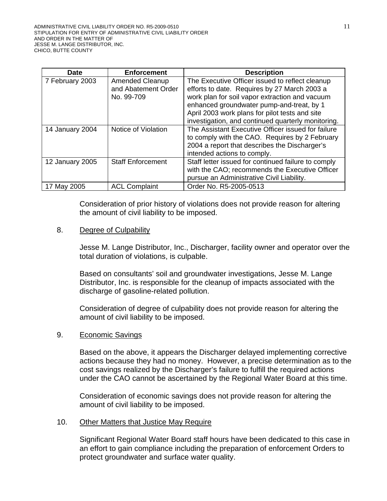| Date            | <b>Enforcement</b>       | <b>Description</b>                                  |
|-----------------|--------------------------|-----------------------------------------------------|
| 7 February 2003 | <b>Amended Cleanup</b>   | The Executive Officer issued to reflect cleanup     |
|                 | and Abatement Order      | efforts to date. Requires by 27 March 2003 a        |
|                 | No. 99-709               | work plan for soil vapor extraction and vacuum      |
|                 |                          | enhanced groundwater pump-and-treat, by 1           |
|                 |                          | April 2003 work plans for pilot tests and site      |
|                 |                          | investigation, and continued quarterly monitoring.  |
| 14 January 2004 | Notice of Violation      | The Assistant Executive Officer issued for failure  |
|                 |                          | to comply with the CAO. Requires by 2 February      |
|                 |                          | 2004 a report that describes the Discharger's       |
|                 |                          | intended actions to comply.                         |
| 12 January 2005 | <b>Staff Enforcement</b> | Staff letter issued for continued failure to comply |
|                 |                          | with the CAO; recommends the Executive Officer      |
|                 |                          | pursue an Administrative Civil Liability.           |
| 17 May 2005     | <b>ACL Complaint</b>     | Order No. R5-2005-0513                              |

Consideration of prior history of violations does not provide reason for altering the amount of civil liability to be imposed.

### 8. Degree of Culpability

Jesse M. Lange Distributor, Inc., Discharger, facility owner and operator over the total duration of violations, is culpable.

Based on consultants' soil and groundwater investigations, Jesse M. Lange Distributor, Inc. is responsible for the cleanup of impacts associated with the discharge of gasoline-related pollution.

Consideration of degree of culpability does not provide reason for altering the amount of civil liability to be imposed.

### 9. Economic Savings

Based on the above, it appears the Discharger delayed implementing corrective actions because they had no money. However, a precise determination as to the cost savings realized by the Discharger's failure to fulfill the required actions under the CAO cannot be ascertained by the Regional Water Board at this time.

Consideration of economic savings does not provide reason for altering the amount of civil liability to be imposed.

### 10. Other Matters that Justice May Require

Significant Regional Water Board staff hours have been dedicated to this case in an effort to gain compliance including the preparation of enforcement Orders to protect groundwater and surface water quality.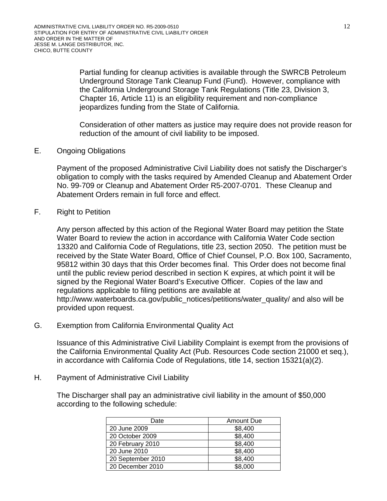Partial funding for cleanup activities is available through the SWRCB Petroleum Underground Storage Tank Cleanup Fund (Fund). However, compliance with the California Underground Storage Tank Regulations (Title 23, Division 3, Chapter 16, Article 11) is an eligibility requirement and non-compliance jeopardizes funding from the State of California.

Consideration of other matters as justice may require does not provide reason for reduction of the amount of civil liability to be imposed.

## E. Ongoing Obligations

Payment of the proposed Administrative Civil Liability does not satisfy the Discharger's obligation to comply with the tasks required by Amended Cleanup and Abatement Order No. 99-709 or Cleanup and Abatement Order R5-2007-0701. These Cleanup and Abatement Orders remain in full force and effect.

## F. Right to Petition

Any person affected by this action of the Regional Water Board may petition the State Water Board to review the action in accordance with California Water Code section 13320 and California Code of Regulations, title 23, section 2050. The petition must be received by the State Water Board, Office of Chief Counsel, P.O. Box 100, Sacramento, 95812 within 30 days that this Order becomes final. This Order does not become final until the public review period described in section K expires, at which point it will be signed by the Regional Water Board's Executive Officer. Copies of the law and regulations applicable to filing petitions are available at http://www.waterboards.ca.gov/public\_notices/petitions/water\_quality/ and also will be provided upon request.

G. Exemption from California Environmental Quality Act

Issuance of this Administrative Civil Liability Complaint is exempt from the provisions of the California Environmental Quality Act (Pub. Resources Code section 21000 et seq.), in accordance with California Code of Regulations, title 14, section 15321(a)(2).

### H. Payment of Administrative Civil Liability

The Discharger shall pay an administrative civil liability in the amount of \$50,000 according to the following schedule:

| Date              | <b>Amount Due</b> |
|-------------------|-------------------|
| 20 June 2009      | \$8,400           |
| 20 October 2009   | \$8,400           |
| 20 February 2010  | \$8,400           |
| 20 June 2010      | \$8,400           |
| 20 September 2010 | \$8,400           |
| 20 December 2010  | \$8,000           |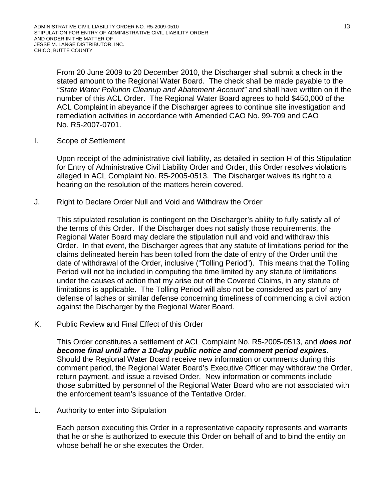From 20 June 2009 to 20 December 2010, the Discharger shall submit a check in the stated amount to the Regional Water Board. The check shall be made payable to the *"State Water Pollution Cleanup and Abatement Account"* and shall have written on it the number of this ACL Order. The Regional Water Board agrees to hold \$450,000 of the ACL Complaint in abeyance if the Discharger agrees to continue site investigation and remediation activities in accordance with Amended CAO No. 99-709 and CAO No. R5-2007-0701.

I. Scope of Settlement

Upon receipt of the administrative civil liability, as detailed in section H of this Stipulation for Entry of Administrative Civil Liability Order and Order, this Order resolves violations alleged in ACL Complaint No. R5-2005-0513. The Discharger waives its right to a hearing on the resolution of the matters herein covered.

J. Right to Declare Order Null and Void and Withdraw the Order

This stipulated resolution is contingent on the Discharger's ability to fully satisfy all of the terms of this Order. If the Discharger does not satisfy those requirements, the Regional Water Board may declare the stipulation null and void and withdraw this Order. In that event, the Discharger agrees that any statute of limitations period for the claims delineated herein has been tolled from the date of entry of the Order until the date of withdrawal of the Order, inclusive ("Tolling Period"). This means that the Tolling Period will not be included in computing the time limited by any statute of limitations under the causes of action that my arise out of the Covered Claims, in any statute of limitations is applicable. The Tolling Period will also not be considered as part of any defense of laches or similar defense concerning timeliness of commencing a civil action against the Discharger by the Regional Water Board.

K. Public Review and Final Effect of this Order

This Order constitutes a settlement of ACL Complaint No. R5-2005-0513, and *does not become final until after a 10-day public notice and comment period expires*. Should the Regional Water Board receive new information or comments during this comment period, the Regional Water Board's Executive Officer may withdraw the Order, return payment, and issue a revised Order. New information or comments include those submitted by personnel of the Regional Water Board who are not associated with the enforcement team's issuance of the Tentative Order.

L. Authority to enter into Stipulation

Each person executing this Order in a representative capacity represents and warrants that he or she is authorized to execute this Order on behalf of and to bind the entity on whose behalf he or she executes the Order.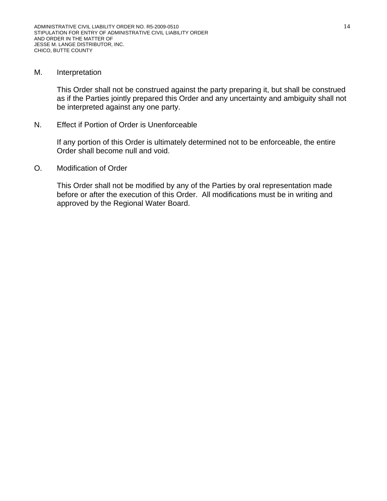#### M. Interpretation

This Order shall not be construed against the party preparing it, but shall be construed as if the Parties jointly prepared this Order and any uncertainty and ambiguity shall not be interpreted against any one party.

N. Effect if Portion of Order is Unenforceable

If any portion of this Order is ultimately determined not to be enforceable, the entire Order shall become null and void.

O. Modification of Order

This Order shall not be modified by any of the Parties by oral representation made before or after the execution of this Order. All modifications must be in writing and approved by the Regional Water Board.